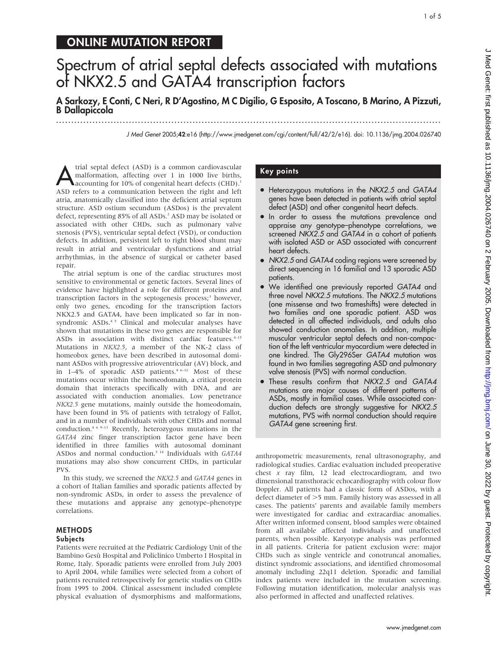## ONLINE MUTATION REPORT

# Spectrum of atrial septal defects associated with mutations of NKX2.5 and GATA4 transcription factors

A Sarkozy, E Conti, C Neri, R D'Agostino, M C Digilio, G Esposito, A Toscano, B Marino, A Pizzuti, B Dallapiccola ...............................................................................................................................

J Med Genet 2005;42:e16 (http://www.jmedgenet.com/cgi/content/full/42/2/e16). doi: 10.1136/jmg.2004.026740

trial septal defect (ASD) is a common cardiovascular<br>
malformation, affecting over 1 in 1000 live births,<br>
accounting for 10% of congenital heart defects (CHD).<sup>1</sup> malformation, affecting over 1 in 1000 live births, ASD refers to a communication between the right and left atria, anatomically classified into the deficient atrial septum structure. ASD ostium secundum (ASDos) is the prevalent defect, representing 85% of all ASDs.<sup>2</sup> ASD may be isolated or associated with other CHDs, such as pulmonary valve stenosis (PVS), ventricular septal defect (VSD), or conduction defects. In addition, persistent left to right blood shunt may result in atrial and ventricular dysfunctions and atrial arrhythmias, in the absence of surgical or catheter based repair.

The atrial septum is one of the cardiac structures most sensitive to environmental or genetic factors. Several lines of evidence have highlighted a role for different proteins and transcription factors in the septogenesis process;<sup>3</sup> however, only two genes, encoding for the transcription factors NKX2.5 and GATA4, have been implicated so far in nonsyndromic ASDs.<sup>45</sup> Clinical and molecular analyses have shown that mutations in these two genes are responsible for ASDs in association with distinct cardiac features.<sup>4-15</sup> Mutations in NKX2.5, a member of the NK-2 class of homeobox genes, have been described in autosomal dominant ASDos with progressive atrioventricular (AV) block, and in 1–4% of sporadic ASD patients.<sup>4 6–12</sup> Most of these mutations occur within the homeodomain, a critical protein domain that interacts specifically with DNA, and are associated with conduction anomalies. Low penetrance NKX2.5 gene mutations, mainly outside the homeodomain, have been found in 5% of patients with tetralogy of Fallot, and in a number of individuals with other CHDs and normal conduction.4 6 9–13 Recently, heterozygous mutations in the GATA4 zinc finger transcription factor gene have been identified in three families with autosomal dominant ASDos and normal conduction.<sup>5 14</sup> Individuals with GATA4 mutations may also show concurrent CHDs, in particular PVS.

In this study, we screened the NKX2.5 and GATA4 genes in a cohort of Italian families and sporadic patients affected by non-syndromic ASDs, in order to assess the prevalence of these mutations and appraise any genotype–phenotype correlations.

#### METHODS

#### Subjects

Patients were recruited at the Pediatric Cardiology Unit of the Bambino Gesù Hospital and Policlinico Umberto I Hospital in Rome, Italy. Sporadic patients were enrolled from July 2003 to April 2004, while families were selected from a cohort of patients recruited retrospectively for genetic studies on CHDs from 1995 to 2004. Clinical assessment included complete physical evaluation of dysmorphisms and malformations,

## Key points

- Heterozygous mutations in the NKX2.5 and GATA4 genes have been detected in patients with atrial septal defect (ASD) and other congenital heart defects.
- In order to assess the mutations prevalence and appraise any genotype–phenotype correlations, we screened NKX2.5 and GATA4 in a cohort of patients with isolated ASD or ASD associated with concurrent heart defects.
- NKX2.5 and GATA4 coding regions were screened by direct sequencing in 16 familial and 13 sporadic ASD patients.
- We identified one previously reported GATA4 and three novel NKX2.5 mutations. The NKX2.5 mutations (one missense and two frameshifts) were detected in two families and one sporadic patient. ASD was detected in all affected individuals, and adults also showed conduction anomalies. In addition, multiple muscular ventricular septal defects and non-compaction of the left ventricular myocardium were detected in one kindred. The Gly296Ser GATA4 mutation was found in two families segregating ASD and pulmonary valve stenosis (PVS) with normal conduction.
- These results confirm that NKX2.5 and GATA4 mutations are major causes of different patterns of ASDs, mostly in familial cases. While associated conduction defects are strongly suggestive for NKX2.5 mutations, PVS with normal conduction should require GATA4 gene screening first.

anthropometric measurements, renal ultrasonography, and radiological studies. Cardiac evaluation included preoperative chest  $x$  ray film, 12 lead electrocardiogram, and two dimensional transthoracic echocardiography with colour flow Doppler. All patients had a classic form of ASDos, with a defect diameter of  $>$ 5 mm. Family history was assessed in all cases. The patients' parents and available family members were investigated for cardiac and extracardiac anomalies. After written informed consent, blood samples were obtained from all available affected individuals and unaffected parents, when possible. Karyotype analysis was performed in all patients. Criteria for patient exclusion were: major CHDs such as single ventricle and conotruncal anomalies, distinct syndromic associations, and identified chromosomal anomaly including 22q11 deletion. Sporadic and familial index patients were included in the mutation screening. Following mutation identification, molecular analysis was also performed in affected and unaffected relatives.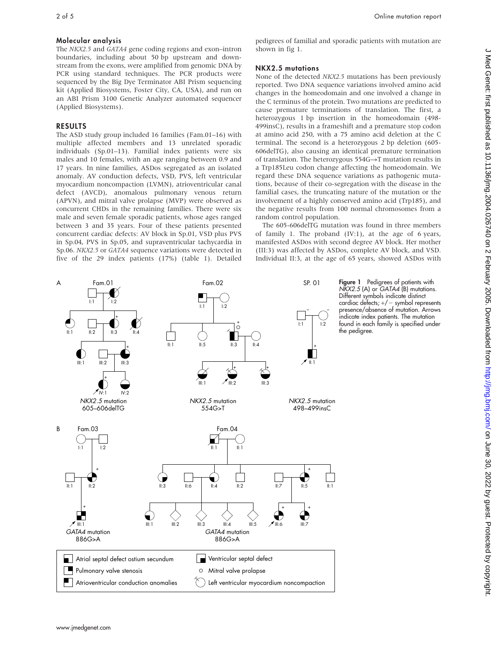### Molecular analysis

The NKX2.5 and GATA4 gene coding regions and exon–intron boundaries, including about 50 bp upstream and downstream from the exons, were amplified from genomic DNA by PCR using standard techniques. The PCR products were sequenced by the Big Dye Terminator ABI Prism sequencing kit (Applied Biosystems, Foster City, CA, USA), and run on an ABI Prism 3100 Genetic Analyzer automated sequencer (Applied Biosystems).

## RESULTS

The ASD study group included 16 families (Fam.01–16) with multiple affected members and 13 unrelated sporadic individuals (Sp.01–13). Familial index patients were six males and 10 females, with an age ranging between 0.9 and 17 years. In nine families, ASDos segregated as an isolated anomaly. AV conduction defects, VSD, PVS, left ventricular myocardium noncompaction (LVMN), atrioventricular canal defect (AVCD), anomalous pulmonary venous return (APVN), and mitral valve prolapse (MVP) were observed as concurrent CHDs in the remaining families. There were six male and seven female sporadic patients, whose ages ranged between 3 and 35 years. Four of these patients presented concurrent cardiac defects: AV block in Sp.01, VSD plus PVS in Sp.04, PVS in Sp.05, and supraventricular tachycardia in Sp.06. NKX2.5 or GATA4 sequence variations were detected in five of the 29 index patients (17%) (table 1). Detailed

pedigrees of familial and sporadic patients with mutation are shown in fig 1.

## NKX2.5 mutations

None of the detected NKX2.5 mutations has been previously reported. Two DNA sequence variations involved amino acid changes in the homeodomain and one involved a change in the C terminus of the protein. Two mutations are predicted to cause premature terminations of translation. The first, a heterozygous 1 bp insertion in the homeodomain (498- 499insC), results in a frameshift and a premature stop codon at amino acid 250, with a 75 amino acid deletion at the C terminal. The second is a heterozygous 2 bp deletion (605- 606delTG), also causing an identical premature termination of translation. The heterozygous  $554G \rightarrow T$  mutation results in a Trp185Leu codon change affecting the homeodomain. We regard these DNA sequence variations as pathogenic mutations, because of their co-segregation with the disease in the familial cases, the truncating nature of the mutation or the involvement of a highly conserved amino acid (Trp185), and the negative results from 100 normal chromosomes from a random control population.

The 605-606delTG mutation was found in three members of family 1. The proband (IV:1), at the age of 6 years, manifested ASDos with second degree AV block. Her mother (III:3) was affected by ASDos, complete AV block, and VSD. Individual II:3, at the age of 65 years, showed ASDos with

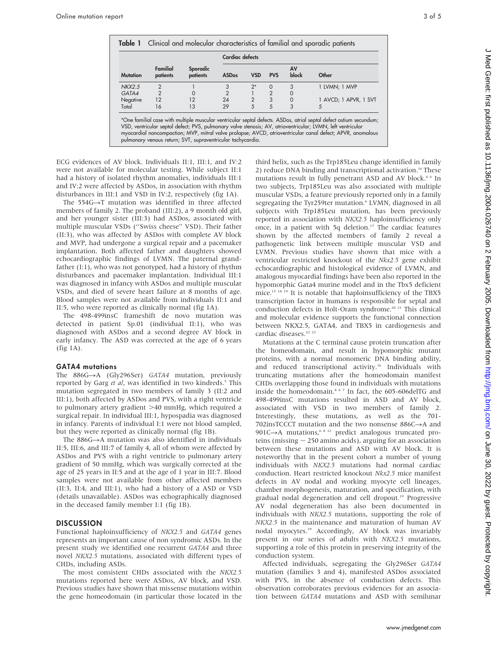| <b>Familial</b><br>Sporadic |               |            |                |             |                                                                                                                                                                                                                                                                                                                                                 |
|-----------------------------|---------------|------------|----------------|-------------|-------------------------------------------------------------------------------------------------------------------------------------------------------------------------------------------------------------------------------------------------------------------------------------------------------------------------------------------------|
| patients<br>patients        | <b>ASDos</b>  | <b>VSD</b> | <b>PVS</b>     | AV<br>block | Other                                                                                                                                                                                                                                                                                                                                           |
|                             | 3             | $2^*$      | $\Omega$       | 3           | 1 LVMN; 1 MVP                                                                                                                                                                                                                                                                                                                                   |
| 0                           | $\mathcal{P}$ |            | $\overline{2}$ | $\Omega$    |                                                                                                                                                                                                                                                                                                                                                 |
| 12                          | 24            | 2          | 3              | 0           | 1 AVCD; 1 APVR, 1 SVT                                                                                                                                                                                                                                                                                                                           |
| 13                          | 29            | 5          | 5              | 3           | 5                                                                                                                                                                                                                                                                                                                                               |
|                             |               |            |                |             | *One familial case with multiple muscular ventricular septal defects. ASDos, atrial septal defect ostium secundum;<br>VSD, ventricular septal defect; PVS, pulmonary valve stenosis; AV, atrioventricular; LVMN, left ventricular<br>myocardial noncompaction; MVP, mitral valve prolapse; AVCD, atrioventricular canal defect; APVR, anomalous |

ECG evidences of AV block. Individuals II:1, III:1, and IV:2 were not available for molecular testing. While subject II:1 had a history of isolated rhythm anomalies, individuals III:1 and IV:2 were affected by ASDos, in association with rhythm disturbances in III:1 and VSD in IV:2, respectively (fig 1A).

The  $554G \rightarrow T$  mutation was identified in three affected members of family 2. The proband (III:2), a 9 month old girl, and her younger sister (III:3) had ASDos, associated with multiple muscular VSDs (''Swiss cheese'' VSD). Their father (II:3), who was affected by ASDos with complete AV block and MVP, had undergone a surgical repair and a pacemaker implantation. Both affected father and daughters showed echocardiographic findings of LVMN. The paternal grandfather (I:1), who was not genotyped, had a history of rhythm disturbances and pacemaker implantation. Individual III:1 was diagnosed in infancy with ASDos and multiple muscular VSDs, and died of severe heart failure at 8 months of age. Blood samples were not available from individuals II:1 and II:5, who were reported as clinically normal (fig 1A).

The 498-499insC frameshift de novo mutation was detected in patient Sp.01 (individual II:1), who was diagnosed with ASDos and a second degree AV block in early infancy. The ASD was corrected at the age of 6 years (fig 1A).

#### GATA4 mutations

The  $886G \rightarrow A$  (Gly296Ser) GATA4 mutation, previously reported by Garg et al, was identified in two kindreds.<sup>5</sup> This mutation segregated in two members of family 3 (II:2 and III:1), both affected by ASDos and PVS, with a right ventricle to pulmonary artery gradient  $>40$  mmHg, which required a surgical repair. In individual III:1, hypospadia was diagnosed in infancy. Parents of individual I:1 were not blood sampled, but they were reported as clinically normal (fig 1B).

The  $886G \rightarrow A$  mutation was also identified in individuals II:5, III:6, and III:7 of family 4, all of whom were affected by ASDos and PVS with a right ventricle to pulmonary artery gradient of 50 mmHg, which was surgically corrected at the age of 25 years in II:5 and at the age of 1 year in III:7. Blood samples were not available from other affected members (II:3, II:4, and III:1), who had a history of a ASD or VSD (details unavailable). ASDos was echographically diagnosed in the deceased family member I:1 (fig 1B).

### **DISCUSSION**

Functional haploinsufficiency of NKX2.5 and GATA4 genes represents an important cause of non syndromic ASDs. In the present study we identified one recurrent GATA4 and three novel NKX2.5 mutations, associated with different types of CHDs, including ASDs.

The most consistent CHDs associated with the NKX2.5 mutations reported here were ASDos, AV block, and VSD. Previous studies have shown that missense mutations within the gene homeodomain (in particular those located in the

third helix, such as the Trp185Leu change identified in family 2) reduce DNA binding and transcriptional activation.<sup>16</sup> These mutations result in fully penetrant ASD and AV block.<sup>46</sup> In two subjects, Trp185Leu was also associated with multiple muscular VSDs, a feature previously reported only in a family segregating the Tyr259ter mutation.<sup>6</sup> LVMN, diagnosed in all subjects with Trp185Leu mutation, has been previously reported in association with NKX2.5 haploinsufficiency only once, in a patient with 5q deletion.<sup>17</sup> The cardiac features shown by the affected members of family 2 reveal a pathogenetic link between multiple muscular VSD and LVMN. Previous studies have shown that mice with a ventricular restricted knockout of the Nkx2.5 gene exhibit echocardiographic and histological evidence of LVMN, and analogous myocardial findings have been also reported in the hypomorphic Gata4 murine model and in the Tbx5 deficient mice.15 18 19 It is notable that haploinsufficiency of the TBX5 transcription factor in humans is responsible for septal and conduction defects in Holt-Oram syndrome.<sup>20 21</sup> This clinical and molecular evidence supports the functional connection between NKX2.5, GATA4, and TBX5 in cardiogenesis and cardiac diseases.<sup>22</sup><sup>23</sup>

Mutations at the C terminal cause protein truncation after the homeodomain, and result in hypomorphic mutant proteins, with a normal monomeric DNA binding ability, and reduced transcriptional activity.<sup>16</sup> Individuals with truncating mutations after the homeodomain manifest CHDs overlapping those found in individuals with mutations inside the homeodomain.467 In fact, the 605-606delTG and 498-499insC mutations resulted in ASD and AV block, associated with VSD in two members of family 2. Interestingly, these mutations, as well as the 701- 702insTCCCT mutation and the two nonsense  $886C \rightarrow A$  and 901C $\rightarrow$ A mutations,<sup>6 8 12</sup> predict analogous truncated proteins (missing  $\sim$  250 amino acids), arguing for an association between these mutations and ASD with AV block. It is noteworthy that in the present cohort a number of young individuals with NKX2.5 mutations had normal cardiac conduction. Heart restricted knockout Nkx2.5 mice manifest defects in AV nodal and working myocyte cell lineages, chamber morphogenesis, maturation, and specification, with gradual nodal degeneration and cell dropout.<sup>19</sup> Progressive AV nodal degeneration has also been documented in individuals with NKX2.5 mutations, supporting the role of NKX2.5 in the maintenance and maturation of human AV nodal myocytes.19 Accordingly, AV block was invariably present in our series of adults with NKX2.5 mutations, supporting a role of this protein in preserving integrity of the conduction system.

Affected individuals, segregating the Gly296Ser GATA4 mutation (families 3 and 4), manifested ASDos associated with PVS, in the absence of conduction defects. This observation corroborates previous evidences for an association between GATA4 mutations and ASD with semilunar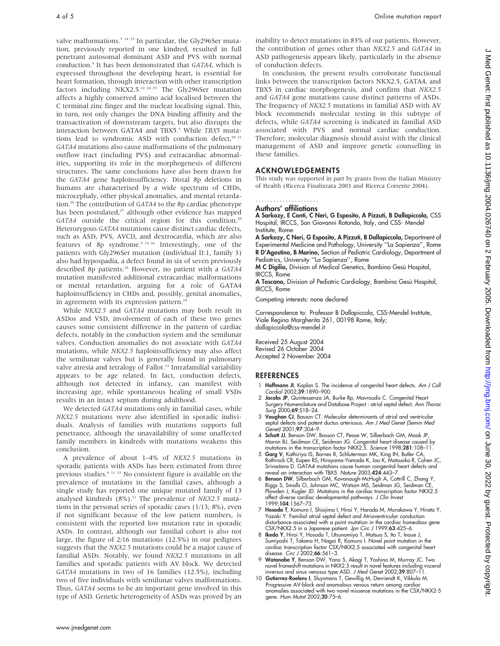valve malformations.<sup>5 14 15</sup> In particular, the Gly296Ser mutation, previously reported in one kindred, resulted in full penetrant autosomal dominant ASD and PVS with normal conduction.<sup>5</sup> It has been demonstrated that GATA4, which is expressed throughout the developing heart, is essential for heart formation, through interaction with other transcription factors including NKX2.5.<sup>22 24 25</sup> The Gly296Ser mutation affects a highly conserved amino acid localised between the C terminal zinc finger and the nuclear localising signal. This, in turn, not only changes the DNA binding affinity and the transactivation of downstream targets, but also disrupts the interaction between GATA4 and TBX5.<sup>5</sup> While TBX5 mutations lead to syndromic ASD with conduction defect,<sup>20 21</sup> GATA4 mutations also cause malformations of the pulmonary outflow tract (including PVS) and extracardiac abnormalities, supporting its role in the morphogenesis of different structures. The same conclusions have also been drawn for the GATA4 gene haploinsufficiency. Distal 8p deletions in humans are characterised by a wide spectrum of CHDs, microcephaly, other physical anomalies, and mental retardation.26 The contribution of GATA4 to the 8p cardiac phenotype has been postulated,<sup>27</sup> although other evidence has mapped GATA4 outside the critical region for this condition.<sup>28</sup> Heterozygous GATA4 mutations cause distinct cardiac defects, such as ASD, PVS, AVCD, and dextrocardia, which are also features of 8p syndrome.5 14 26 Interestingly, one of the patients with Gly296Ser mutation (individual II:1, family 3) also had hypospadia, a defect found in six of seven previously described 8p patients.<sup>26</sup> However, no patient with a GATA4 mutation manifested additional extracardiac malformations or mental retardation, arguing for a role of GATA4 haploinsufficiency in CHDs and, possibly, genital anomalies, in agreement with its expression pattern.<sup>25</sup>

While NKX2.5 and GATA4 mutations may both result in ASDos and VSD, involvement of each of these two genes causes some consistent difference in the pattern of cardiac defects, notably in the conduction system and the semilunar valves. Conduction anomalies do not associate with GATA4 mutations, while NKX2.5 haploinsufficiency may also affect the semilunar valves but is generally found in pulmonary valve atresia and tetralogy of Fallot.<sup>13</sup> Intrafamilial variability appears to be age related. In fact, conduction defects, although not detected in infancy, can manifest with increasing age, while spontaneous healing of small VSDs results in an intact septum during adulthood.

We detected GATA4 mutations only in familial cases, while NKX2.5 mutations were also identified in sporadic individuals. Analysis of families with mutations supports full penetrance, although the unavailability of some unaffected family members in kindreds with mutations weakens this conclusion.

A prevalence of about 1–4% of NKX2.5 mutations in sporadic patients with ASDs has been estimated from three previous studies.<sup>8 11 12</sup> No consistent figure is available on the prevalence of mutations in the familial cases, although a single study has reported one unique mutated family of 13 analysed kindreds  $(8\%)$ .<sup>11</sup> The prevalence of NKX2.5<sup>muta-</sup> tions in the personal series of sporadic cases (1/13; 8%), even if not significant because of the low patient numbers, is consistent with the reported low mutation rate in sporadic ASDs. In contrast, although our familial cohort is also not large, the figure of 2/16 mutations (12.5%) in our pedigrees suggests that the NKX2.5 mutations could be a major cause of familial ASDs. Notably, we found NKX2.5 mutations in all families and sporadic patients with AV block. We detected GATA4 mutations in two of 16 families (12.5%), including two of five individuals with semilunar valves malformations. Thus, GATA4 seems to be an important gene involved in this type of ASD. Genetic heterogeneity of ASDs was proved by an inability to detect mutations in 83% of our patients. However, the contribution of genes other than NKX2.5 and GATA4 in ASD pathogenesis appears likely, particularly in the absence of conduction defects.

In conclusion, the present results corroborate functional links between the transcription factors NKX2.5, GATA4, and TBX5 in cardiac morphogenesis, and confirm that NKX2.5 and GATA4 gene mutations cause distinct patterns of ASDs. The frequency of NKX2.5 mutations in familial ASD with AV block recommends molecular testing in this subtype of defects, while GATA4 screening is indicated in familial ASD associated with PVS and normal cardiac conduction. Therefore, molecular diagnosis should assist with the clinical management of ASD and improve genetic counselling in these families.

## ACKNOWLEDGEMENTS

This study was supported in part by grants from the Italian Ministry of Health (Ricerca Finalizzata 2003 and Ricerca Corrente 2004).

#### Authors' affiliations .....................

A Sarkozy, E Conti, C Neri, G Esposito, A Pizzuti, B Dallapiccola, CSS Hospital, IRCCS, San Giovanni Rotondo, Italy, and CSS- Mendel Institute, Rome

A Sarkozy, C Neri, G Esposito, A Pizzuti, B Dallapiccola, Department of Experimental Medicine and Pathology, University ''La Sapienza'', Rome R D'Agostino, B Marino, Section of Pediatric Cardiology, Department of Pediatrics, University ''La Sapienza'', Rome

M C Digilio, Division of Medical Genetics, Bambino Gesù Hospital, IRCCS, Rome

A Toscano, Division of Pediatric Cardiology, Bambino Gesù Hospital, IRCCS, Rome

Competing interests: none declared

Correspondence to: Professor B Dallapiccola, CSS-Mendel Institute, Viale Regina Margherita 261, 00198 Rome, Italy; dallapiccola@css-mendel.it

Received 25 August 2004 Revised 26 October 2004 Accepted 2 November 2004

## **REFERENCES**

- 1 Hoffmann JI, Kaplan S. The incidence of congenital heart defects. Am J Coll Cardiol 2002;39:1890–900.
- 2 Jacobs JP, Quintessenza JA, Burke Rp, Mavroudis C. Congenital Heart Surgery Nomenclature and Database Project : atrial septal defect. Ann Thorac Surg 2000;69:S18–24.
- 3 Vaughan CJ, Basson CT. Molecular determinants of atrial and ventricular septal defects and patent ductus arteriosus. Am J Med Genet (Semin Med Genet) 2001;97:304–9.
- 4 Schott JJ, Benson DW, Basson CT, Pease W, Silberbach GM, Moak JP Maron BJ, Seidman CE, Seidman JG. Congenital heart disease caused by mutations in the transcription factor NKX2.5. Science 1998;281:108–11.
- 5 Garg V, Kathiriya IS, Barnes R, Schluterman MK, King IN, Butler CA, Rothrock CR, Eapen RS, Hirayama-Yamada K, Joo K, Matsuoka R, Cohen JC, Srivastava D. GATA4 mutations cause human congenital heart defects and reveal an interaction with TBX5. Nature 2003;424:443–7.
- 6 Benson DW, Silberbach GM, Kavanaugh-McHugh A, Cottrill C, Zhang Y, Riggs S, Smalls O, Johnson MC, Watson MS, Seidman JG, Seidman CE, Plowden J, Kugler JD. Mutations in the cardiac transcription factor NKX2.5 affect diverse cardiac developmental pathways. J Clin Invest 1999;104:1567–73.
- 7 Hosoda T, Komuro I, Shiojima I, Hiroi Y, Harada M, Murakawa Y, Hirata Y, Yazaki Y. Familial atrial septal defect and Atrioventricular conduction disturbance associated with a point mutation in the cardiac homeobox gene CSX/NKX2.5 in a Japanese patient. Jpn Circ J 1999;63:425–6.
- 8 Ikeda Y, Hiroi Y, Hosoda T, Utsunomiya T, Matsuo S, Ito T, Inoue J, Sumiyoshi T, Takano H, Nagai R, Komuro I. Novel point mutation in the cardiac transcription factor CSX/NKX2.5 associated with congenital heart disease. Circ J 2002;66:561-3.
- 9 Watanabe Y, Benson DW, Yano S, Akagi T, Yoshino M, Murray JC. Two novel frameshift mutations in NKX2.5 result in novel features including visceral inversus and sinus venosus type ASD. J Med Genet 2002;39:807–11.
- 10 Gutierrez-Roelens I, Sluysmans T, Gewillig M, Devriendt K, Vikkula M. Progressive AV-block and anomalous venous return among cardiac anomalies associated with two novel missense mutations in the CSX/NKX2-5 gene. Hum Mutat 2002;20:75–6.